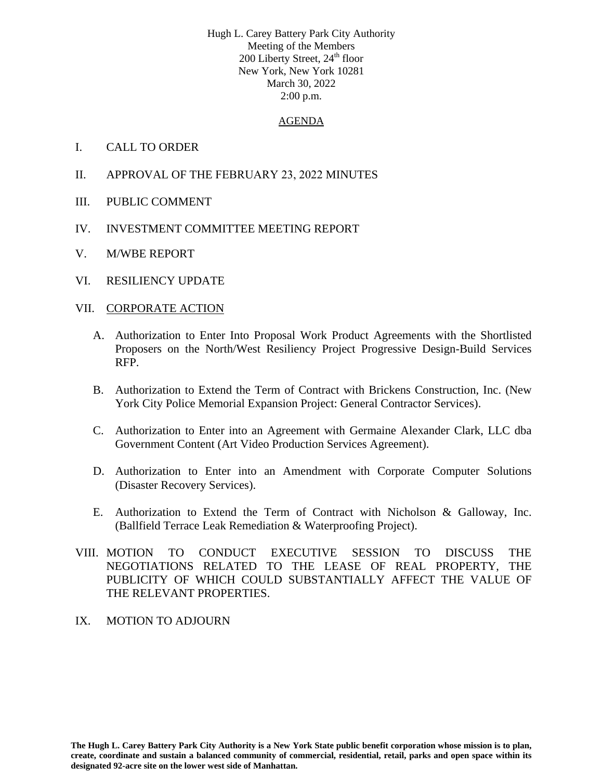Hugh L. Carey Battery Park City Authority Meeting of the Members  $200$  Liberty Street,  $24<sup>th</sup>$  floor New York, New York 10281 March 30, 2022 2:00 p.m.

#### AGENDA

#### I. CALL TO ORDER

- II. APPROVAL OF THE FEBRUARY 23, 2022 MINUTES
- III. PUBLIC COMMENT
- IV. INVESTMENT COMMITTEE MEETING REPORT
- V. M/WBE REPORT
- VI. RESILIENCY UPDATE

#### VII. CORPORATE ACTION

- A. Authorization to Enter Into Proposal Work Product Agreements with the Shortlisted Proposers on the North/West Resiliency Project Progressive Design-Build Services RFP.
- B. Authorization to Extend the Term of Contract with Brickens Construction, Inc. (New York City Police Memorial Expansion Project: General Contractor Services).
- C. Authorization to Enter into an Agreement with Germaine Alexander Clark, LLC dba Government Content (Art Video Production Services Agreement).
- D. Authorization to Enter into an Amendment with Corporate Computer Solutions (Disaster Recovery Services).
- E. Authorization to Extend the Term of Contract with Nicholson & Galloway, Inc. (Ballfield Terrace Leak Remediation & Waterproofing Project).
- VIII. MOTION TO CONDUCT EXECUTIVE SESSION TO DISCUSS THE NEGOTIATIONS RELATED TO THE LEASE OF REAL PROPERTY, THE PUBLICITY OF WHICH COULD SUBSTANTIALLY AFFECT THE VALUE OF THE RELEVANT PROPERTIES.
- IX. MOTION TO ADJOURN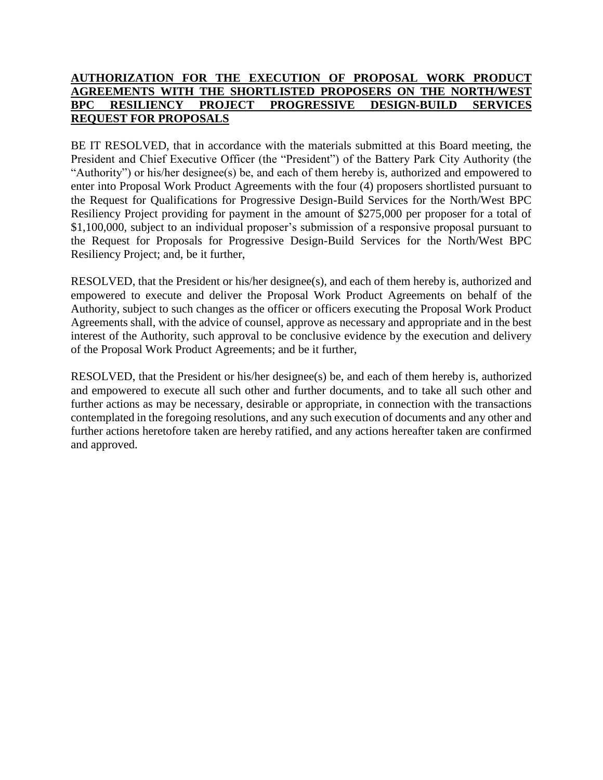### **AUTHORIZATION FOR THE EXECUTION OF PROPOSAL WORK PRODUCT AGREEMENTS WITH THE SHORTLISTED PROPOSERS ON THE NORTH/WEST BPC RESILIENCY PROJECT PROGRESSIVE DESIGN-BUILD SERVICES REQUEST FOR PROPOSALS**

BE IT RESOLVED, that in accordance with the materials submitted at this Board meeting, the President and Chief Executive Officer (the "President") of the Battery Park City Authority (the "Authority") or his/her designee(s) be, and each of them hereby is, authorized and empowered to enter into Proposal Work Product Agreements with the four (4) proposers shortlisted pursuant to the Request for Qualifications for Progressive Design-Build Services for the North/West BPC Resiliency Project providing for payment in the amount of \$275,000 per proposer for a total of \$1,100,000, subject to an individual proposer's submission of a responsive proposal pursuant to the Request for Proposals for Progressive Design-Build Services for the North/West BPC Resiliency Project; and, be it further,

RESOLVED, that the President or his/her designee(s), and each of them hereby is, authorized and empowered to execute and deliver the Proposal Work Product Agreements on behalf of the Authority, subject to such changes as the officer or officers executing the Proposal Work Product Agreements shall, with the advice of counsel, approve as necessary and appropriate and in the best interest of the Authority, such approval to be conclusive evidence by the execution and delivery of the Proposal Work Product Agreements; and be it further,

RESOLVED, that the President or his/her designee(s) be, and each of them hereby is, authorized and empowered to execute all such other and further documents, and to take all such other and further actions as may be necessary, desirable or appropriate, in connection with the transactions contemplated in the foregoing resolutions, and any such execution of documents and any other and further actions heretofore taken are hereby ratified, and any actions hereafter taken are confirmed and approved.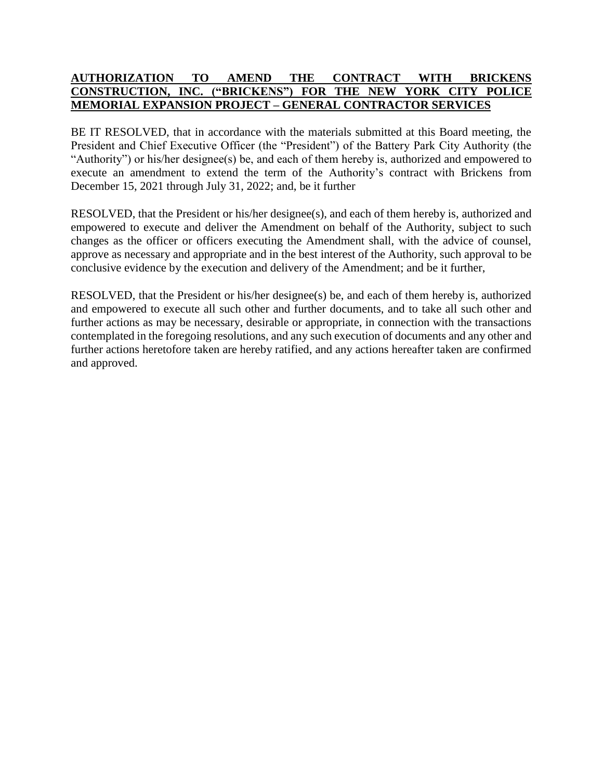## **AUTHORIZATION TO AMEND THE CONTRACT WITH BRICKENS CONSTRUCTION, INC. ("BRICKENS") FOR THE NEW YORK CITY POLICE MEMORIAL EXPANSION PROJECT – GENERAL CONTRACTOR SERVICES**

BE IT RESOLVED, that in accordance with the materials submitted at this Board meeting, the President and Chief Executive Officer (the "President") of the Battery Park City Authority (the "Authority") or his/her designee(s) be, and each of them hereby is, authorized and empowered to execute an amendment to extend the term of the Authority's contract with Brickens from December 15, 2021 through July 31, 2022; and, be it further

RESOLVED, that the President or his/her designee(s), and each of them hereby is, authorized and empowered to execute and deliver the Amendment on behalf of the Authority, subject to such changes as the officer or officers executing the Amendment shall, with the advice of counsel, approve as necessary and appropriate and in the best interest of the Authority, such approval to be conclusive evidence by the execution and delivery of the Amendment; and be it further,

RESOLVED, that the President or his/her designee(s) be, and each of them hereby is, authorized and empowered to execute all such other and further documents, and to take all such other and further actions as may be necessary, desirable or appropriate, in connection with the transactions contemplated in the foregoing resolutions, and any such execution of documents and any other and further actions heretofore taken are hereby ratified, and any actions hereafter taken are confirmed and approved.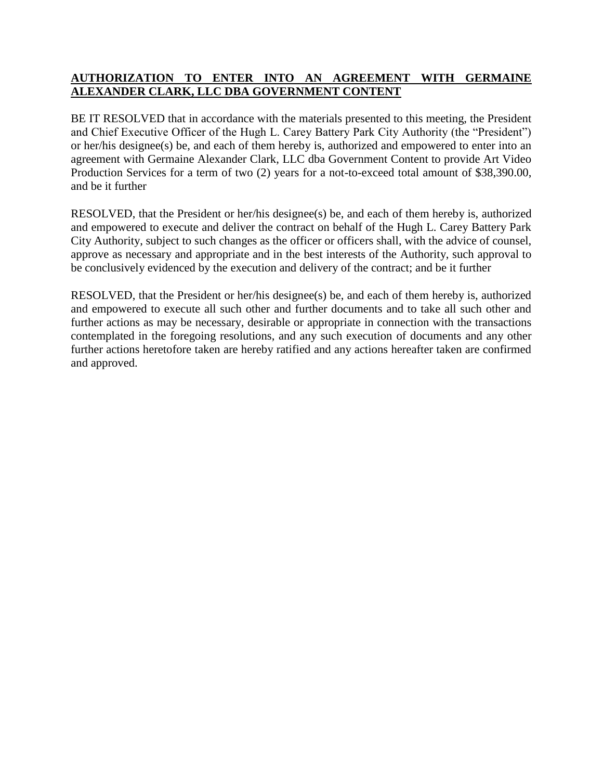## **AUTHORIZATION TO ENTER INTO AN AGREEMENT WITH GERMAINE ALEXANDER CLARK, LLC DBA GOVERNMENT CONTENT**

BE IT RESOLVED that in accordance with the materials presented to this meeting, the President and Chief Executive Officer of the Hugh L. Carey Battery Park City Authority (the "President") or her/his designee(s) be, and each of them hereby is, authorized and empowered to enter into an agreement with Germaine Alexander Clark, LLC dba Government Content to provide Art Video Production Services for a term of two (2) years for a not-to-exceed total amount of \$38,390.00, and be it further

RESOLVED, that the President or her/his designee(s) be, and each of them hereby is, authorized and empowered to execute and deliver the contract on behalf of the Hugh L. Carey Battery Park City Authority, subject to such changes as the officer or officers shall, with the advice of counsel, approve as necessary and appropriate and in the best interests of the Authority, such approval to be conclusively evidenced by the execution and delivery of the contract; and be it further

RESOLVED, that the President or her/his designee(s) be, and each of them hereby is, authorized and empowered to execute all such other and further documents and to take all such other and further actions as may be necessary, desirable or appropriate in connection with the transactions contemplated in the foregoing resolutions, and any such execution of documents and any other further actions heretofore taken are hereby ratified and any actions hereafter taken are confirmed and approved.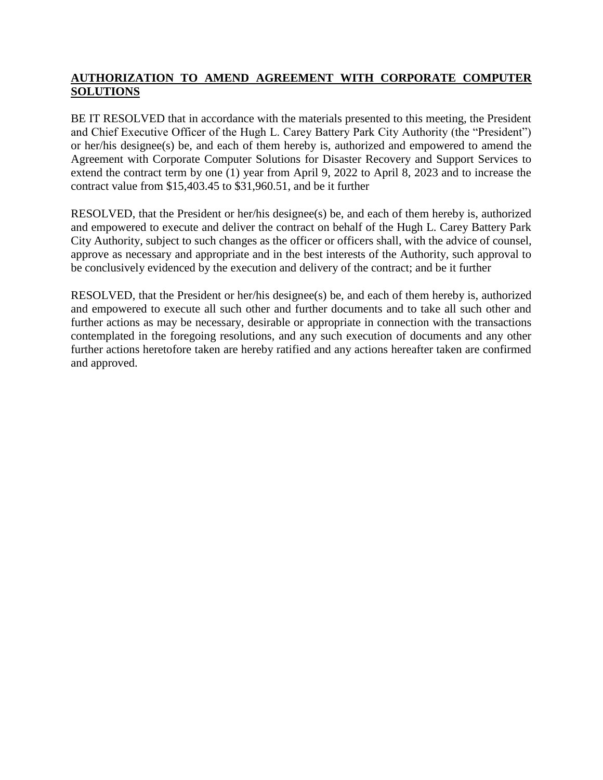# **AUTHORIZATION TO AMEND AGREEMENT WITH CORPORATE COMPUTER SOLUTIONS**

BE IT RESOLVED that in accordance with the materials presented to this meeting, the President and Chief Executive Officer of the Hugh L. Carey Battery Park City Authority (the "President") or her/his designee(s) be, and each of them hereby is, authorized and empowered to amend the Agreement with Corporate Computer Solutions for Disaster Recovery and Support Services to extend the contract term by one (1) year from April 9, 2022 to April 8, 2023 and to increase the contract value from \$15,403.45 to \$31,960.51, and be it further

RESOLVED, that the President or her/his designee(s) be, and each of them hereby is, authorized and empowered to execute and deliver the contract on behalf of the Hugh L. Carey Battery Park City Authority, subject to such changes as the officer or officers shall, with the advice of counsel, approve as necessary and appropriate and in the best interests of the Authority, such approval to be conclusively evidenced by the execution and delivery of the contract; and be it further

RESOLVED, that the President or her/his designee(s) be, and each of them hereby is, authorized and empowered to execute all such other and further documents and to take all such other and further actions as may be necessary, desirable or appropriate in connection with the transactions contemplated in the foregoing resolutions, and any such execution of documents and any other further actions heretofore taken are hereby ratified and any actions hereafter taken are confirmed and approved.